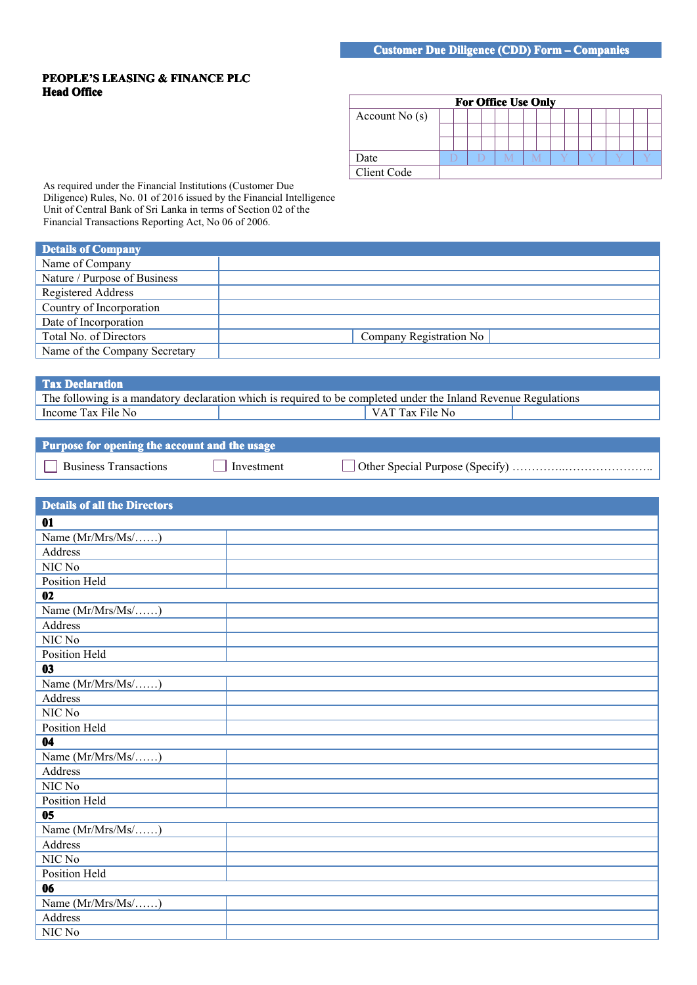## **PEOPLE'S LEASING LEASING LEASING& FINANCE FINANCE PLC Head Office**

|                 |  |  | <b>For Office Use Only</b> |  |  |  |  |  |  |
|-----------------|--|--|----------------------------|--|--|--|--|--|--|
| Account $No(s)$ |  |  |                            |  |  |  |  |  |  |
|                 |  |  |                            |  |  |  |  |  |  |
|                 |  |  |                            |  |  |  |  |  |  |
| Date            |  |  |                            |  |  |  |  |  |  |
| Client Code     |  |  |                            |  |  |  |  |  |  |

As required under the Financial Institutions (Customer Due Diligence) Rules, No. 01 of 2016 issued by the Financial Intelligence Unit of Central Bank of Sri Lanka in terms of Section 02 of the Financial Transactions Reporting Act, No 06 of 2006.

| Details of Company            |                         |
|-------------------------------|-------------------------|
| Name of Company               |                         |
| Nature / Purpose of Business  |                         |
| Registered Address            |                         |
| Country of Incorporation      |                         |
| Date of Incorporation         |                         |
| Total No. of Directors        | Company Registration No |
| Name of the Company Secretary |                         |

## **Tax Declaration**

The following is <sup>a</sup> mandatory declaration which is required to be completed under the Inland Revenue Regulations Income Tax File No VAT Tax File No

| Purpose for opening the account and the usage |            |  |
|-----------------------------------------------|------------|--|
| $\Box$ Business Transactions                  | Investment |  |

| <b>Details of all the Directors</b> |  |
|-------------------------------------|--|
| 01                                  |  |
| Name (Mr/Mrs/Ms/)                   |  |
| Address                             |  |
| NIC No                              |  |
| <b>Position Held</b>                |  |
| 02                                  |  |
| Name (Mr/Mrs/Ms/)                   |  |
| Address                             |  |
| NIC No                              |  |
| <b>Position Held</b>                |  |
| 03                                  |  |
| Name (Mr/Mrs/Ms/)                   |  |
| Address                             |  |
| NIC No                              |  |
| Position Held                       |  |
| $\overline{04}$                     |  |
| Name (Mr/Mrs/Ms/)                   |  |
| Address                             |  |
| NIC No                              |  |
| Position Held                       |  |
| 0 <sub>5</sub>                      |  |
| Name (Mr/Mrs/Ms/)                   |  |
| Address                             |  |
| NIC No                              |  |
| Position Held                       |  |
| 06                                  |  |
| Name (Mr/Mrs/Ms/)                   |  |
| Address                             |  |
| NIC No                              |  |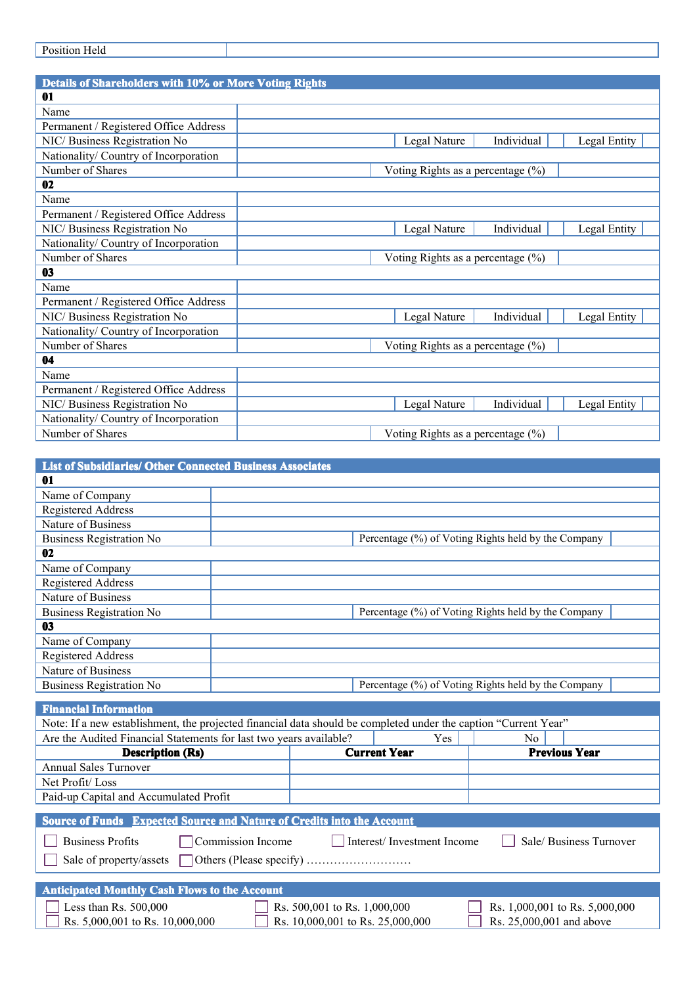| Details of Shareholders with 10% or More Voting Rights |                                       |            |              |
|--------------------------------------------------------|---------------------------------------|------------|--------------|
| 01                                                     |                                       |            |              |
| Name                                                   |                                       |            |              |
| Permanent / Registered Office Address                  |                                       |            |              |
| NIC/ Business Registration No                          | Legal Nature                          | Individual | Legal Entity |
| Nationality/ Country of Incorporation                  |                                       |            |              |
| Number of Shares                                       | Voting Rights as a percentage $(\%)$  |            |              |
| 02                                                     |                                       |            |              |
| Name                                                   |                                       |            |              |
| Permanent / Registered Office Address                  |                                       |            |              |
| NIC/Business Registration No                           | Legal Nature                          | Individual | Legal Entity |
| Nationality/ Country of Incorporation                  |                                       |            |              |
| Number of Shares                                       | Voting Rights as a percentage $(\%)$  |            |              |
| 03                                                     |                                       |            |              |
| Name                                                   |                                       |            |              |
| Permanent / Registered Office Address                  |                                       |            |              |
| NIC/ Business Registration No                          | Legal Nature                          | Individual | Legal Entity |
| Nationality/ Country of Incorporation                  |                                       |            |              |
| Number of Shares                                       | Voting Rights as a percentage $(\%)$  |            |              |
| 04                                                     |                                       |            |              |
| Name                                                   |                                       |            |              |
| Permanent / Registered Office Address                  |                                       |            |              |
| NIC/ Business Registration No                          | Legal Nature                          | Individual | Legal Entity |
| Nationality/ Country of Incorporation                  |                                       |            |              |
| Number of Shares                                       | Voting Rights as a percentage $(\% )$ |            |              |

| <b>List of Subsidiaries/ Other Connected Business Associates</b>                                                |                   |                              |                                  |                                                     |
|-----------------------------------------------------------------------------------------------------------------|-------------------|------------------------------|----------------------------------|-----------------------------------------------------|
| 01                                                                                                              |                   |                              |                                  |                                                     |
| Name of Company                                                                                                 |                   |                              |                                  |                                                     |
| <b>Registered Address</b>                                                                                       |                   |                              |                                  |                                                     |
| Nature of Business                                                                                              |                   |                              |                                  |                                                     |
| <b>Business Registration No</b>                                                                                 |                   |                              |                                  | Percentage (%) of Voting Rights held by the Company |
| 02                                                                                                              |                   |                              |                                  |                                                     |
| Name of Company                                                                                                 |                   |                              |                                  |                                                     |
| Registered Address                                                                                              |                   |                              |                                  |                                                     |
| <b>Nature of Business</b>                                                                                       |                   |                              |                                  |                                                     |
| <b>Business Registration No</b>                                                                                 |                   |                              |                                  | Percentage (%) of Voting Rights held by the Company |
| 03                                                                                                              |                   |                              |                                  |                                                     |
| Name of Company                                                                                                 |                   |                              |                                  |                                                     |
| <b>Registered Address</b>                                                                                       |                   |                              |                                  |                                                     |
| Nature of Business                                                                                              |                   |                              |                                  |                                                     |
| <b>Business Registration No</b>                                                                                 |                   |                              |                                  | Percentage (%) of Voting Rights held by the Company |
| <b>Financial Information</b>                                                                                    |                   |                              |                                  |                                                     |
| Note: If a new establishment, the projected financial data should be completed under the caption "Current Year" |                   |                              |                                  |                                                     |
| Are the Audited Financial Statements for last two years available?                                              |                   |                              | Yes                              | No                                                  |
| <b>Description (Rs)</b>                                                                                         |                   |                              | <b>Current Year</b>              | <b>Previous Year</b>                                |
| <b>Annual Sales Turnover</b>                                                                                    |                   |                              |                                  |                                                     |
| Net Profit/Loss                                                                                                 |                   |                              |                                  |                                                     |
| Paid-up Capital and Accumulated Profit                                                                          |                   |                              |                                  |                                                     |
|                                                                                                                 |                   |                              |                                  |                                                     |
| Source of Funds Expected Source and Nature of Credits into the Account                                          |                   |                              |                                  |                                                     |
| <b>Business Profits</b>                                                                                         | Commission Income |                              | Interest/Investment Income       | Sale/Business Turnover                              |
|                                                                                                                 |                   |                              |                                  |                                                     |
|                                                                                                                 |                   |                              |                                  |                                                     |
|                                                                                                                 |                   |                              |                                  |                                                     |
| <b>Anticipated Monthly Cash Flows to the Account</b>                                                            |                   |                              |                                  |                                                     |
| Less than Rs. 500,000                                                                                           |                   | Rs. 500,001 to Rs. 1,000,000 |                                  | Rs. 1,000,001 to Rs. 5,000,000                      |
| Rs. 5,000,001 to Rs. 10,000,000                                                                                 |                   |                              | Rs. 10,000,001 to Rs. 25,000,000 | Rs. 25,000,001 and above                            |